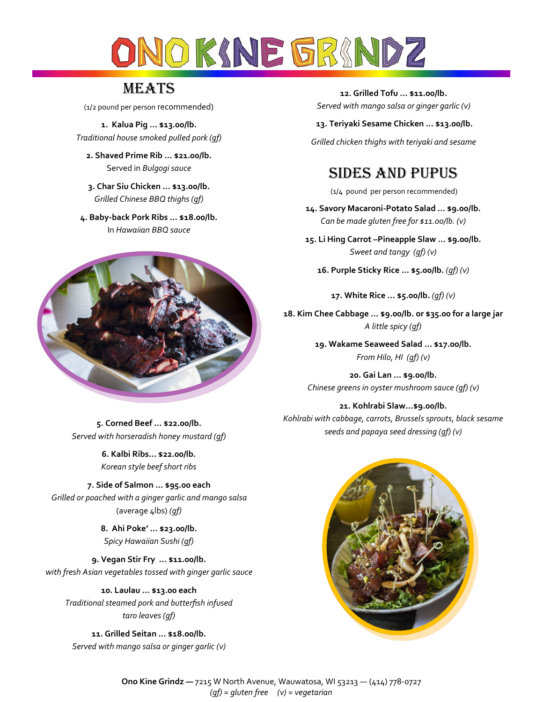

# **MEATS**

(1/2 pound per person recommended)

**1. Kalua Pig … \$13.00/lb.**  *Traditional house smoked pulled pork (gf)*

**2. Shaved Prime Rib … \$21.00/lb.**  Served in *Bulgogi sauce* 

**3. Char Siu Chicken … \$13.00/lb.**  *Grilled Chinese BBQ thighs (gf)*

**4. Baby-back Pork Ribs … \$18.00/lb.**  In *Hawaiian BBQ sauce*



**5. Corned Beef … \$22.00/lb.**  *Served with horseradish honey mustard (gf)*

> **6. Kalbi Ribs… \$22.00/lb.** *Korean style beef short ribs*

**7. Side of Salmon … \$95.00 each**  *Grilled or poached with a ginger garlic and mango salsa*  (average 4lbs) *(gf)*

> **8. Ahi Poke' … \$23.00/lb.**  *Spicy Hawaiian Sushi (gf)*

**9. Vegan Stir Fry … \$11.00/lb.**  *with fresh Asian vegetables tossed with ginger garlic sauce*

**10. Laulau … \$13.00 each**  *Traditional steamed pork and butterfish infused taro leaves (gf)*

**11. Grilled Seitan … \$18.00/lb.**  *Served with mango salsa or ginger garlic (v)*

**12. Grilled Tofu … \$11.00/lb.**  *Served with mango salsa or ginger garlic (v)*

**13. Teriyaki Sesame Chicken … \$13.00/lb.**

*Grilled chicken thighs with teriyaki and sesame*

## Sides and Pupus

(1/4 pound per person recommended)

**14. Savory Macaroni-Potato Salad … \$9.00/lb.** *Can be made gluten free for \$11.00/lb. (v)*

**15. Li Hing Carrot –Pineapple Slaw … \$9.00/lb.**  *Sweet and tangy (gf) (v)*

**16. Purple Sticky Rice … \$5.00/lb.** *(gf) (v)*

**17. White Rice … \$5.00/lb.** *(gf) (v)*

**18. Kim Chee Cabbage … \$9.00/lb. or \$35.00 for a large jar**  *A little spicy (gf)*

> **19. Wakame Seaweed Salad … \$17.00/lb.**  *From Hilo, HI (gf) (v)*

**20. Gai Lan … \$9.00/lb.**  *Chinese greens in oyster mushroom sauce (gf) (v)*

**21. Kohlrabi Slaw…\$9.00/lb.** 

*Kohlrabi with cabbage, carrots, Brussels sprouts, black sesame seeds and papaya seed dressing (gf) (v)*



**Ono Kine Grindz —** 7215 W North Avenue, Wauwatosa, WI 53213 — (414) 778-0727 *(gf) = gluten free (v) = vegetarian*